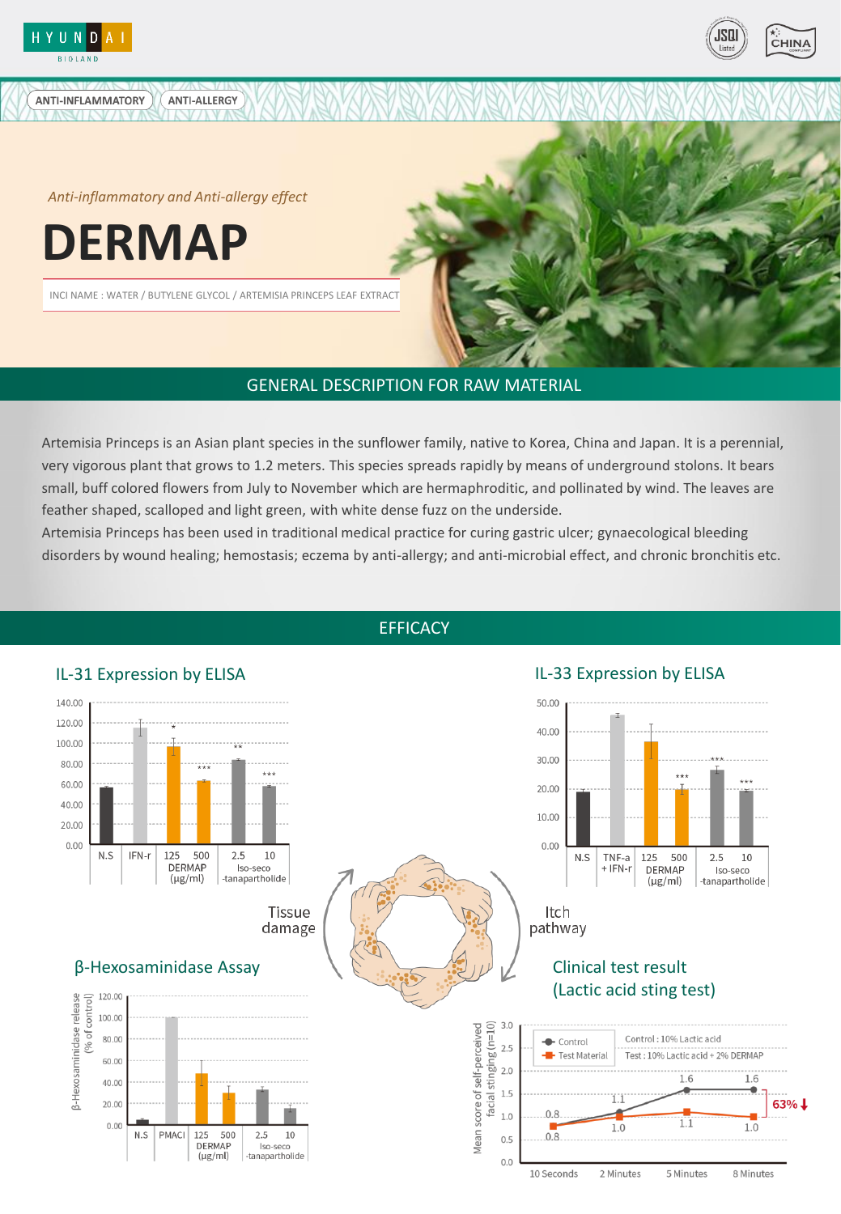

ANTI-INFLAMMATORY



*Anti-inflammatory and Anti-allergy effect*

**ANTI-ALLERGY** 

**DERMAP**

INCI NAME : WATER / BUTYLENE GLYCOL / ARTEMISIA PRINCEPS LEAF EXTRACT

# GENERAL DESCRIPTION FOR RAW MATERIAL

Artemisia Princeps is an Asian plant species in the sunflower family, native to Korea, China and Japan. It is a perennial, very vigorous plant that grows to 1.2 meters. This species spreads rapidly by means of underground stolons. It bears small, buff colored flowers from July to November which are hermaphroditic, and pollinated by wind. The leaves are feather shaped, scalloped and light green, with white dense fuzz on the underside.

Artemisia Princeps has been used in traditional medical practice for curing gastric ulcer; gynaecological bleeding disorders by wound healing; hemostasis; eczema by anti-allergy; and anti-microbial effect, and chronic bronchitis etc.



**EFFICACY**